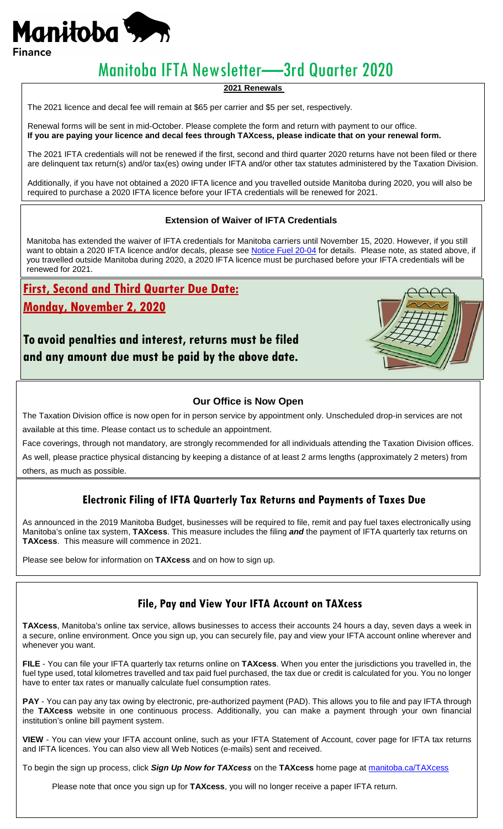# Manitoba Son

## Manitoba IFTA Newsletter—3rd Quarter 2020

**2021 Renewals** 

The 2021 licence and decal fee will remain at \$65 per carrier and \$5 per set, respectively.

Renewal forms will be sent in mid-October. Please complete the form and return with payment to our office. **If you are paying your licence and decal fees through TAXcess, please indicate that on your renewal form.** 

The 2021 IFTA credentials will not be renewed if the first, second and third quarter 2020 returns have not been filed or there are delinquent tax return(s) and/or tax(es) owing under IFTA and/or other tax statutes administered by the Taxation Division.

Additionally, if you have not obtained a 2020 IFTA licence and you travelled outside Manitoba during 2020, you will also be required to purchase a 2020 IFTA licence before your IFTA credentials will be renewed for 2021.

### **Extension of Waiver of IFTA Credentials**

Manitoba has extended the waiver of IFTA credentials for Manitoba carriers until November 15, 2020. However, if you still want to obtain a 2020 IFTA licence and/or decals, please see [Notice Fuel 20-04](https://www.gov.mb.ca/finance/taxation/pubs/bulletins/noticefuel2004.pdf) for details. Please note, as stated above, if you travelled outside Manitoba during 2020, a 2020 IFTA licence must be purchased before your IFTA credentials will be renewed for 2021.

**First, Second and Third Quarter Due Date: Monday, November 2, 2020**

**To avoid penalties and interest, returns must be filed and any amount due must be paid by the above date.**

## **Our Office is Now Open**

The Taxation Division office is now open for in person service by appointment only. Unscheduled drop-in services are not available at this time. Please contact us to schedule an appointment.

Face coverings, through not mandatory, are strongly recommended for all individuals attending the Taxation Division offices. As well, please practice physical distancing by keeping a distance of at least 2 arms lengths (approximately 2 meters) from others, as much as possible.

## **Electronic Filing of IFTA Quarterly Tax Returns and Payments of Taxes Due**

As announced in the 2019 Manitoba Budget, businesses will be required to file, remit and pay fuel taxes electronically using Manitoba's online tax system, **TAXcess**. This measure includes the filing *and* the payment of IFTA quarterly tax returns on **TAXcess**. This measure will commence in 2021.

Please see below for information on **TAXcess** and on how to sign up.

## **File, Pay and View Your IFTA Account on TAXcess**

**TAXcess**, Manitoba's online tax service, allows businesses to access their accounts 24 hours a day, seven days a week in a secure, online environment. Once you sign up, you can securely file, pay and view your IFTA account online wherever and whenever you want.

**FILE** - You can file your IFTA quarterly tax returns online on **TAXcess**. When you enter the jurisdictions you travelled in, the fuel type used, total kilometres travelled and tax paid fuel purchased, the tax due or credit is calculated for you. You no longer have to enter tax rates or manually calculate fuel consumption rates.

**PAY** - You can pay any tax owing by electronic, pre-authorized payment (PAD). This allows you to file and pay IFTA through the **TAXcess** website in one continuous process. Additionally, you can make a payment through your own financial institution's online bill payment system.

**VIEW** - You can view your IFTA account online, such as your IFTA Statement of Account, cover page for IFTA tax returns and IFTA licences. You can also view all Web Notices (e-mails) sent and received.

To begin the sign up process, click *Sign Up Now for TAXcess* on the **TAXcess** home page at [manitoba.ca/TAXcess](https://taxcess.gov.mb.ca/TAXcess/_/)

Please note that once you sign up for **TAXcess**, you will no longer receive a paper IFTA return.